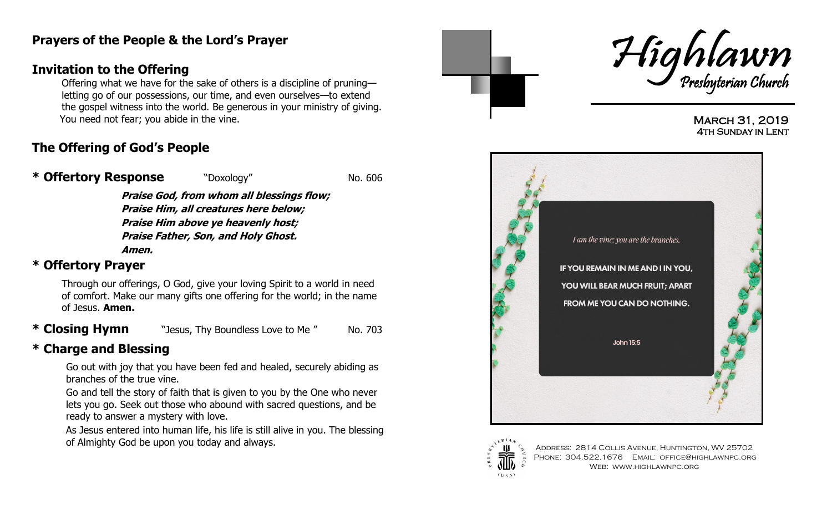## **Prayers of the People & the Lord's Prayer**

## **Invitation to the Offering**

Offering what we have for the sake of others is a discipline of pruning letting go of our possessions, our time, and even ourselves—to extend the gospel witness into the world. Be generous in your ministry of giving. You need not fear; you abide in the vine.

# **The Offering of God's People**

#### **\* Offertory Response** The No. 606

**Praise God, from whom all blessings flow; Praise Him, all creatures here below; Praise Him above ye heavenly host; Praise Father, Son, and Holy Ghost. Amen.**

## **\* Offertory Prayer**

Through our offerings, O God, give your loving Spirit to a world in need of comfort. Make our many gifts one offering for the world; in the name of Jesus. **Amen.**

**\* Closing Hymn** "Jesus, Thy Boundless Love to Me" No. 703

# **\* Charge and Blessing**

 Go out with joy that you have been fed and healed, securely abiding as branches of the true vine.

 Go and tell the story of faith that is given to you by the One who never lets you go. Seek out those who abound with sacred questions, and be ready to answer a mystery with love.

 As Jesus entered into human life, his life is still alive in you. The blessing of Almighty God be upon you today and always.



March 31, 2019 **4TH SUNDAY IN LENT** 





Address: 2814 Collis Avenue, Huntington, WV 25702 PHONE: 304.522.1676 EMAIL: OFFICE@HIGHLAWNPC.ORG Web: www.highlawnpc.org